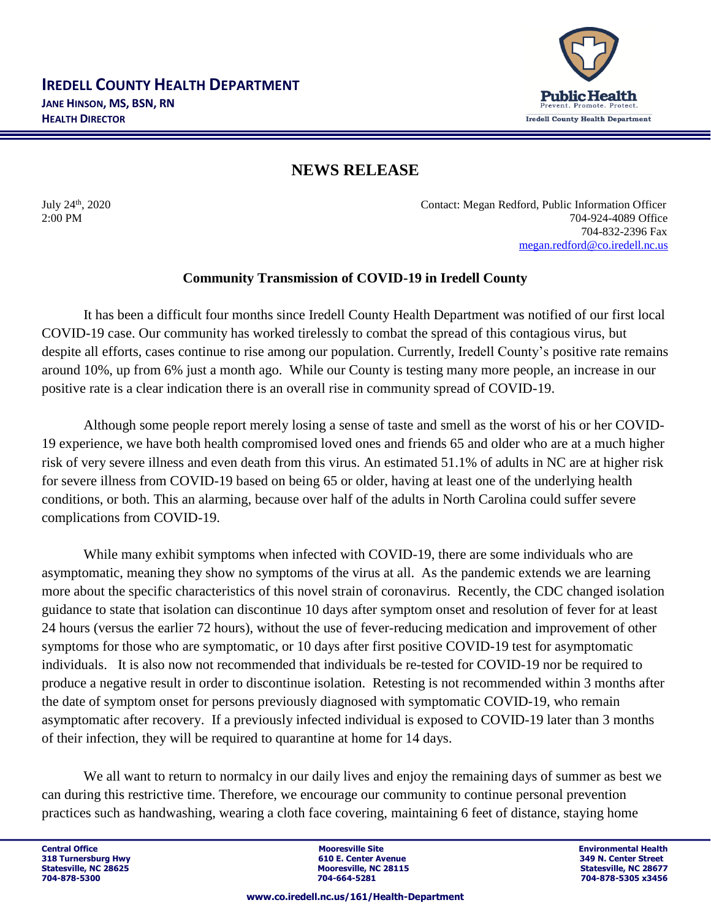

## **NEWS RELEASE**

July 24<sup>th</sup>, 2020

Contact: Megan Redford, Public Information Officer 2:00 PM 704-924-4089 Office 704-832-2396 Fax [megan.redford@co.iredell.nc.us](mailto:megan.redford@co.iredell.nc.us)

## **Community Transmission of COVID-19 in Iredell County**

It has been a difficult four months since Iredell County Health Department was notified of our first local COVID-19 case. Our community has worked tirelessly to combat the spread of this contagious virus, but despite all efforts, cases continue to rise among our population. Currently, Iredell County's positive rate remains around 10%, up from 6% just a month ago. While our County is testing many more people, an increase in our positive rate is a clear indication there is an overall rise in community spread of COVID-19.

Although some people report merely losing a sense of taste and smell as the worst of his or her COVID-19 experience, we have both health compromised loved ones and friends 65 and older who are at a much higher risk of very severe illness and even death from this virus. An estimated 51.1% of adults in NC are at higher risk for severe illness from COVID-19 based on being 65 or older, having at least one of the underlying health conditions, or both. This an alarming, because over half of the adults in North Carolina could suffer severe complications from COVID-19.

While many exhibit symptoms when infected with COVID-19, there are some individuals who are asymptomatic, meaning they show no symptoms of the virus at all. As the pandemic extends we are learning more about the specific characteristics of this novel strain of coronavirus. Recently, the CDC changed isolation guidance to state that isolation can discontinue 10 days after symptom onset and resolution of fever for at least 24 hours (versus the earlier 72 hours), without the use of fever-reducing medication and improvement of other symptoms for those who are symptomatic, or 10 days after first positive COVID-19 test for asymptomatic individuals. It is also now not recommended that individuals be re-tested for COVID-19 nor be required to produce a negative result in order to discontinue isolation. Retesting is not recommended within 3 months after the date of symptom onset for persons previously diagnosed with symptomatic COVID-19, who remain asymptomatic after recovery. If a previously infected individual is exposed to COVID-19 later than 3 months of their infection, they will be required to quarantine at home for 14 days.

We all want to return to normalcy in our daily lives and enjoy the remaining days of summer as best we can during this restrictive time. Therefore, we encourage our community to continue personal prevention practices such as handwashing, wearing a cloth face covering, maintaining 6 feet of distance, staying home

**Central Office Mooresville Site Environmental Health 318 Turnersburg Hwy 1988 18 A. Center Avenue 318 Turnersburg Hwy 610 E. Center Avenue 349 Center Avenue 349 N. C. 28115** Statesville, NC 28625 **Mooresville, NC 28115** Statesville, NC 28627<br>
2014-664-5281<br>
2014-664-5281 Statesville, NC 28677<br>
2014-828-5305 x3456

**704-878-5300 704-664-5281 704-878-5305 x3456**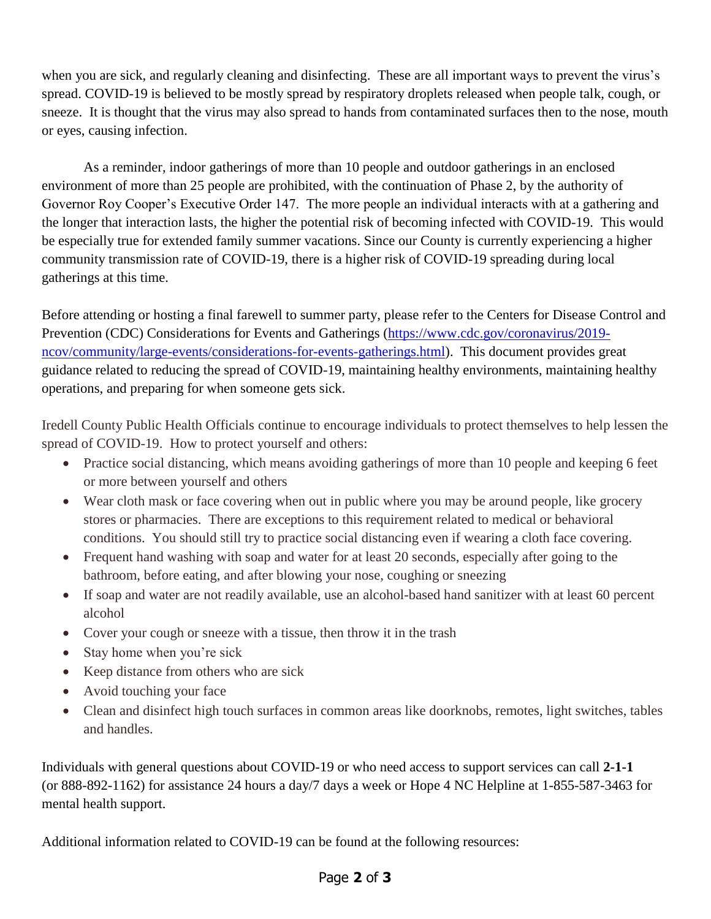when you are sick, and regularly cleaning and disinfecting. These are all important ways to prevent the virus's spread. COVID-19 is believed to be mostly spread by respiratory droplets released when people talk, cough, or sneeze. It is thought that the virus may also spread to hands from contaminated surfaces then to the nose, mouth or eyes, causing infection.

As a reminder, indoor gatherings of more than 10 people and outdoor gatherings in an enclosed environment of more than 25 people are prohibited, with the continuation of Phase 2, by the authority of Governor Roy Cooper's Executive Order 147. The more people an individual interacts with at a gathering and the longer that interaction lasts, the higher the potential risk of becoming infected with COVID-19. This would be especially true for extended family summer vacations. Since our County is currently experiencing a higher community transmission rate of COVID-19, there is a higher risk of COVID-19 spreading during local gatherings at this time.

Before attending or hosting a final farewell to summer party, please refer to the Centers for Disease Control and Prevention (CDC) Considerations for Events and Gatherings [\(https://www.cdc.gov/coronavirus/2019](https://www.cdc.gov/coronavirus/2019-ncov/community/large-events/considerations-for-events-gatherings.html) [ncov/community/large-events/considerations-for-events-gatherings.html\)](https://www.cdc.gov/coronavirus/2019-ncov/community/large-events/considerations-for-events-gatherings.html). This document provides great guidance related to reducing the spread of COVID-19, maintaining healthy environments, maintaining healthy operations, and preparing for when someone gets sick.

Iredell County Public Health Officials continue to encourage individuals to protect themselves to help lessen the spread of COVID-19. How to protect yourself and others:

- Practice social distancing, which means avoiding gatherings of more than 10 people and keeping 6 feet or more between yourself and others
- Wear cloth mask or face covering when out in public where you may be around people, like grocery stores or pharmacies. There are exceptions to this requirement related to medical or behavioral conditions. You should still try to practice social distancing even if wearing a cloth face covering.
- Frequent hand washing with soap and water for at least 20 seconds, especially after going to the bathroom, before eating, and after blowing your nose, coughing or sneezing
- If soap and water are not readily available, use an alcohol-based hand sanitizer with at least 60 percent alcohol
- Cover your cough or sneeze with a tissue, then throw it in the trash
- Stay home when you're sick
- Keep distance from others who are sick
- Avoid touching your face
- Clean and disinfect high touch surfaces in common areas like doorknobs, remotes, light switches, tables and handles.

Individuals with general questions about COVID-19 or who need access to support services can call **2-1-1**  (or 888-892-1162) for assistance 24 hours a day/7 days a week or Hope 4 NC Helpline at 1-855-587-3463 for mental health support.

Additional information related to COVID-19 can be found at the following resources:

## Page **2** of **3**